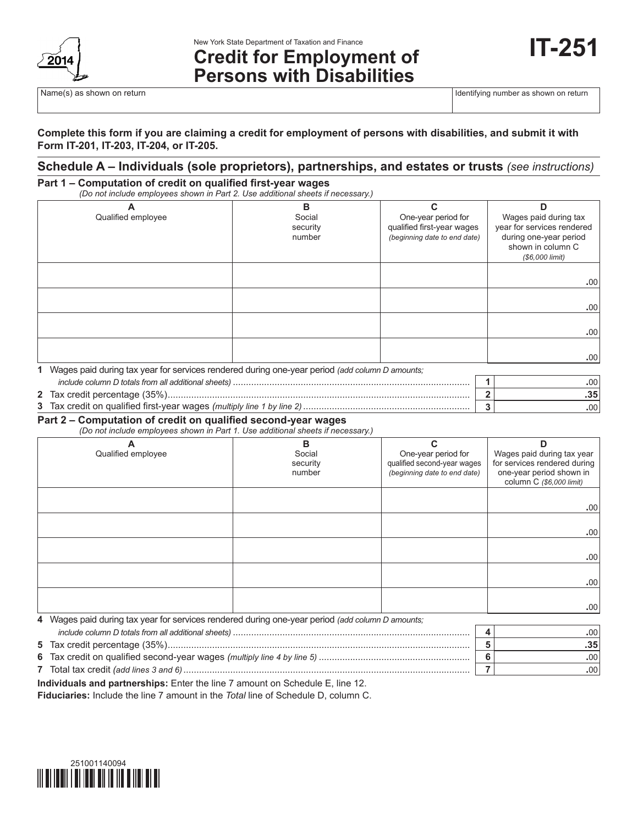

# **Credit for Employment of Persons with Disabilities**

Name(s) as shown on return in the state of the state of the state of the state of the state of the state of the state of the state of the state of the state of the state of the state of the state of the state of the state

#### **Complete this form if you are claiming a credit for employment of persons with disabilities, and submit it with Form IT-201, IT-203, IT-204, or IT-205.**

## **Schedule A – Individuals (sole proprietors), partnerships, and estates or trusts** *(see instructions)*

#### **Part 1 – Computation of credit on qualified first‑year wages** *(Do not include employees shown in Part 2. Use additional sheets if necessary.)*

| Α<br>Qualified employee                                                                          | в<br>Social<br>security<br>number | One-year period for<br>qualified first-year wages<br>(beginning date to end date) | Wages paid during tax<br>year for services rendered<br>during one-year period<br>shown in column C |
|--------------------------------------------------------------------------------------------------|-----------------------------------|-----------------------------------------------------------------------------------|----------------------------------------------------------------------------------------------------|
|                                                                                                  |                                   |                                                                                   | (\$6,000 limit)                                                                                    |
|                                                                                                  |                                   |                                                                                   |                                                                                                    |
|                                                                                                  |                                   |                                                                                   | .00                                                                                                |
|                                                                                                  |                                   |                                                                                   |                                                                                                    |
|                                                                                                  |                                   |                                                                                   | .00                                                                                                |
|                                                                                                  |                                   |                                                                                   | .00                                                                                                |
|                                                                                                  |                                   |                                                                                   | .00.                                                                                               |
| 1 Wages paid during tax year for services rendered during one-year period (add column D amounts; |                                   |                                                                                   |                                                                                                    |
|                                                                                                  |                                   |                                                                                   | .00.                                                                                               |

|                                                                        | .∪∪ |
|------------------------------------------------------------------------|-----|
| $\cdot$ lax credit percentage $(35\%)$                                 |     |
| 3 Tax credit on qualified first-year wages (multiply line 1 by line 2) |     |

#### **Part 2 – Computation of credit on qualified second‑year wages**

*(Do not include employees shown in Part 1. Use additional sheets if necessary.)*

| A<br>Qualified employee | B<br>Social<br>security<br>number | ⌒<br>One-year period for<br>qualified second-year wages<br>(beginning date to end date) | Wages paid during tax year<br>for services rendered during<br>one-year period shown in<br>column C (\$6,000 limit) |
|-------------------------|-----------------------------------|-----------------------------------------------------------------------------------------|--------------------------------------------------------------------------------------------------------------------|
|                         |                                   |                                                                                         | .00.                                                                                                               |
|                         |                                   |                                                                                         | .00 <sub>1</sub>                                                                                                   |
|                         |                                   |                                                                                         | .00.                                                                                                               |
|                         |                                   |                                                                                         | .00 <sub>1</sub>                                                                                                   |
|                         |                                   |                                                                                         | .00 <sub>1</sub>                                                                                                   |

| 4 Wages paid during tax year for services rendered during one-year period (add column D amounts; |     |
|--------------------------------------------------------------------------------------------------|-----|
|                                                                                                  | .00 |
|                                                                                                  |     |
|                                                                                                  | .00 |
|                                                                                                  | .00 |

**Individuals and partnerships:** Enter the line 7 amount on Schedule E, line 12.

**Fiduciaries:** Include the line 7 amount in the *Total* line of Schedule D, column C.